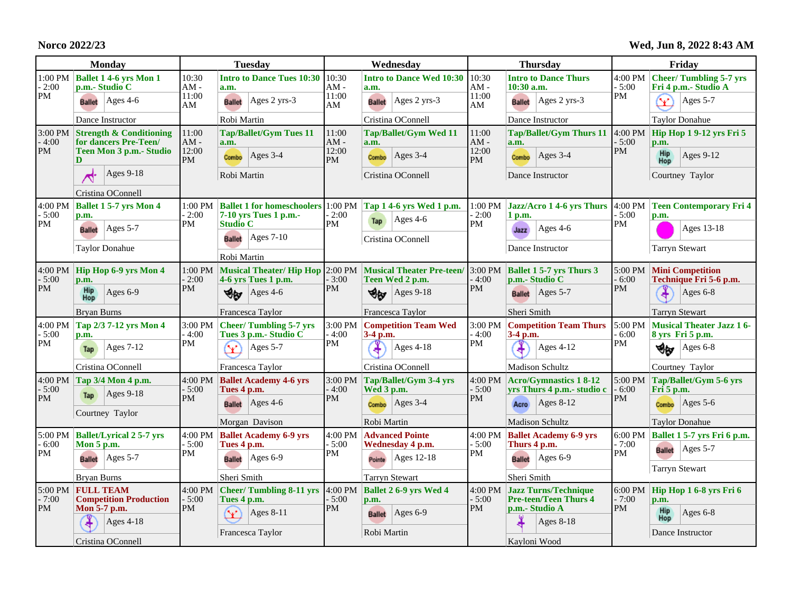**Norco 2022/23**

**Wed, Jun 8, 2022 8:43 AM**

| <b>Monday</b>            |                                                             | <b>Tuesday</b>                  |                                                                                                  | Wednesday                             |                                            | <b>Thursday</b>                       |                                                               | Friday                                       |                                                                   |
|--------------------------|-------------------------------------------------------------|---------------------------------|--------------------------------------------------------------------------------------------------|---------------------------------------|--------------------------------------------|---------------------------------------|---------------------------------------------------------------|----------------------------------------------|-------------------------------------------------------------------|
| 1:00 PM<br>$-2:00$<br>PM | <b>Ballet 1 4-6 yrs Mon 1</b><br>p.m.- Studio C             | 10:30<br>$AM -$<br>11:00        | <b>Intro to Dance Tues 10:30</b><br>a.m.                                                         | 10:30<br>$AM -$<br>11:00              | <b>Intro to Dance Wed 10:30</b><br>a.m.    | 10:30<br>AM -<br>11:00                | <b>Intro to Dance Thurs</b><br>$10:30$ a.m.                   | 4:00 PM<br>$-5:00$<br>PM                     | <b>Cheer/Tumbling 5-7 yrs</b><br>Fri 4 p.m.- Studio A             |
|                          | <b>Ballet</b> Ages 4-6                                      | AM                              | Ages 2 yrs-3<br><b>Ballet</b>                                                                    | AM                                    | Ages 2 yrs-3<br><b>Ballet</b>              | AM                                    | <b>Ballet</b> Ages 2 yrs-3                                    |                                              | $\blacktriangledown$<br>Ages 5-7                                  |
|                          | Dance Instructor                                            |                                 | Robi Martin                                                                                      |                                       | Cristina OConnell                          |                                       | Dance Instructor                                              |                                              | <b>Taylor Donahue</b>                                             |
| 3:00 PM<br>$-4:00$<br>PM | <b>Strength &amp; Conditioning</b><br>for dancers Pre-Teen/ | 11:00<br>$AM -$<br>12:00<br>PM  | <b>Tap/Ballet/Gym Tues 11</b><br>a.m.                                                            | 11:00<br>$AM -$<br>12:00<br><b>PM</b> | <b>Tap/Ballet/Gym Wed 11</b><br>a.m.       | 11:00<br>$AM -$<br>12:00<br><b>PM</b> | <b>Tap/Ballet/Gym Thurs 11</b><br>a.m.                        | $4:00 \text{ PM}$<br>$-5:00$<br>PM           | Hip Hop 1 9-12 yrs Fri 5<br>p.m.                                  |
|                          | Teen Mon 3 p.m. - Studio<br>D                               |                                 | Ages $3-4$<br>Combo                                                                              |                                       | Ages $3-4$<br>Combo                        |                                       | $Ages$ 3-4<br>Combo                                           |                                              | <b>Hip</b><br>Hop<br>Ages 9-12                                    |
|                          | Ages 9-18<br>⌒                                              |                                 | Robi Martin                                                                                      |                                       | Cristina OConnell                          |                                       | Dance Instructor                                              |                                              | Courtney Taylor                                                   |
|                          | Cristina OConnell                                           |                                 |                                                                                                  |                                       |                                            |                                       |                                                               |                                              |                                                                   |
| 4:00 PM<br>$-5:00$<br>PM | <b>Ballet 1 5-7 yrs Mon 4</b><br>p.m.                       | 1:00 PM<br>$-2:00$<br>PM        | Ballet 1 for homeschoolers 1:00 PM Tap 1 4-6 yrs Wed 1 p.m.<br>7-10 yrs Tues 1 p.m.-             | $-2:00$<br>PM                         | $Ages$ 4-6                                 | $-2:00$<br><b>PM</b>                  | $1:00 \text{ PM}$ Jazz/Acro 1 4-6 yrs Thurs 4:00 PM<br>1 p.m. | $-5:00$<br>PM                                | <b>Teen Contemporary Fri 4</b><br>p.m.                            |
|                          | Ages $5-7$<br><b>Ballet</b>                                 |                                 | <b>Studio C</b><br>$\text{Ages } 7-10$<br><b>Ballet</b>                                          |                                       | Tap<br>Cristina OConnell                   |                                       | Ages 4-6<br>Jazz                                              |                                              | Ages 13-18                                                        |
|                          | <b>Taylor Donahue</b>                                       |                                 | Robi Martin                                                                                      |                                       |                                            |                                       | Dance Instructor                                              |                                              | <b>Tarryn Stewart</b>                                             |
| 4:00 PM<br>$-5:00$       | Hip Hop 6-9 yrs Mon 4<br>p.m.                               | $-2:00$                         | 1:00 PM Musical Theater/Hip Hop 2:00 PM Musical Theater Pre-teen/ 3:00 PM<br>4-6 yrs Tues 1 p.m. | $-3:00$<br><b>PM</b>                  | Teen Wed 2 p.m.                            | $-4:00$<br>PM                         | <b>Ballet 1 5-7 yrs Thurs 3</b><br>p.m.- Studio C             | 5:00 PM<br>$-6:00$<br><b>PM</b>              | <b>Mini Competition</b><br>Technique Fri 5-6 p.m.                 |
| PM                       | Hip<br>Hop<br>Ages $6-9$                                    | PM                              | $\operatorname{Ages} 4-6$<br>ಳೇ                                                                  |                                       | খ⊮<br>Ages $9-18$                          |                                       | Ages $5-7$<br><b>Ballet</b>                                   |                                              | Ages 6-8                                                          |
|                          | Bryan Burns                                                 |                                 | Francesca Taylor                                                                                 | Francesca Taylor                      |                                            |                                       | Sheri Smith                                                   |                                              | <b>Tarryn Stewart</b>                                             |
| 4:00 PM<br>$-5:00$<br>PM | Tap 2/3 7-12 yrs Mon 4<br>p.m.                              | 3:00 PM<br>- 4:00<br>PM         | <b>Cheer/Tumbling 5-7 yrs</b><br>Tues 3 p.m.- Studio C                                           | 3:00 PM<br>$-4:00$<br>PM              | <b>Competition Team Wed</b><br>3-4 p.m.    | 3:00 PM<br>$-4:00$<br>PM              | <b>Competition Team Thurs</b><br>3-4 p.m.                     | 5:00 PM<br>$-6:00$                           | <b>Musical Theater Jazz 16-</b><br>8 yrs Fri 5 p.m.               |
|                          | Ages $7-12$<br>Tap                                          |                                 | Ages $5-7$<br>v                                                                                  |                                       | <b>Ages 4-18</b>                           |                                       | <b>Ages 4-12</b>                                              | PM                                           | Ages 6-8<br>∜⊌                                                    |
|                          | Cristina OConnell                                           |                                 | Francesca Taylor                                                                                 |                                       | Cristina OConnell                          |                                       | <b>Madison Schultz</b>                                        |                                              | Courtney Taylor                                                   |
| 4:00 PM<br>$-5:00$       | Tap 3/4 Mon 4 p.m.                                          | 4:00 PM<br>$-5:00$<br><b>PM</b> | <b>Ballet Academy 4-6 yrs</b><br>Tues 4 p.m.                                                     | 3:00 PM<br>$-4:00$<br><b>PM</b>       | Tap/Ballet/Gym 3-4 yrs<br>Wed 3 p.m.       | 4:00 PM<br>$-5:00$<br><b>PM</b>       | <b>Acro/Gymnastics 18-12</b><br>yrs Thurs 4 p.m.- studio c    | 5:00 PM<br>$-6:00$<br>PM                     | Tap/Ballet/Gym 5-6 yrs<br>$\overline{\text{Fri}}\,5\,\text{p.m.}$ |
| PM                       | $Ages 9-18$<br>Tap                                          |                                 | $\operatorname{Ages}$ 4-6<br><b>Ballet</b>                                                       |                                       | $\text{Ages } 3-4$<br>Combo                |                                       | $ Ages 8-12$<br>Acro                                          |                                              | Ages $5-6$<br>Combo                                               |
|                          | Courtney Taylor                                             |                                 | Morgan Davison                                                                                   |                                       | Robi Martin                                |                                       | <b>Madison Schultz</b>                                        |                                              | <b>Taylor Donahue</b>                                             |
| 5:00 PM<br>$-6:00$<br>PM | <b>Ballet/Lyrical 2 5-7 yrs</b><br>Mon 5 p.m.               | $-5:00$<br>PM                   | 4:00 PM Ballet Academy 6-9 yrs<br>Tues 4 p.m.                                                    | 4:00 PM<br>$-5:00$<br>PM              | <b>Advanced Pointe</b><br>Wednesday 4 p.m. | 4:00 PM<br>$-5:00$<br>PM              | <b>Ballet Academy 6-9 yrs</b><br>Thurs 4 p.m.                 | 6:00 PM<br>$-7:00$<br>PM                     | Ballet 1 5-7 yrs Fri 6 p.m.                                       |
|                          | Ages $5-7$<br><b>Ballet</b>                                 |                                 | $\text{Ages } 6-9$<br><b>Ballet</b>                                                              |                                       | Ages 12-18<br>Pointe                       |                                       | $\text{Ages } 6-9$<br><b>Ballet</b>                           |                                              | Ages $5-7$<br><b>Ballet</b>                                       |
|                          | <b>Brvan Burns</b>                                          |                                 | Sheri Smith                                                                                      |                                       | <b>Tarryn Stewart</b>                      |                                       | Sheri Smith                                                   |                                              | <b>Tarryn Stewart</b>                                             |
| 5:00 PM<br>$-7:00$       | <b>FULL TEAM</b><br><b>Competition Production</b>           | $4:00$ PM<br>$-5:00$<br>PM      | Cheer/Tumbling 8-11 yrs 4:00 PM Ballet 2 6-9 yrs Wed 4<br>Tues 4 p.m.                            | $-5:00$<br><b>PM</b>                  | p.m.                                       | $-5:00$<br><b>PM</b>                  | 4:00 PM Jazz Turns/Technique<br><b>Pre-teen/Teen Thurs 4</b>  | 6:00 PM<br>$-7:00$<br><b>PM</b><br>Ages 8-18 | Hip Hop 1 6-8 yrs Fri 6<br>p.m.                                   |
| <b>PM</b>                | Mon 5-7 p.m.<br>$Ages$ 4-18                                 |                                 | Œ<br>Ages 8-11                                                                                   |                                       | Ages $6-9$<br><b>Ballet</b>                |                                       | p.m.- Studio A                                                |                                              | Hip<br>Ages 6-8<br>Hop                                            |
|                          | Cristina OConnell                                           |                                 | Francesca Taylor                                                                                 |                                       | Robi Martin                                |                                       | Kavloni Wood                                                  |                                              | Dance Instructor                                                  |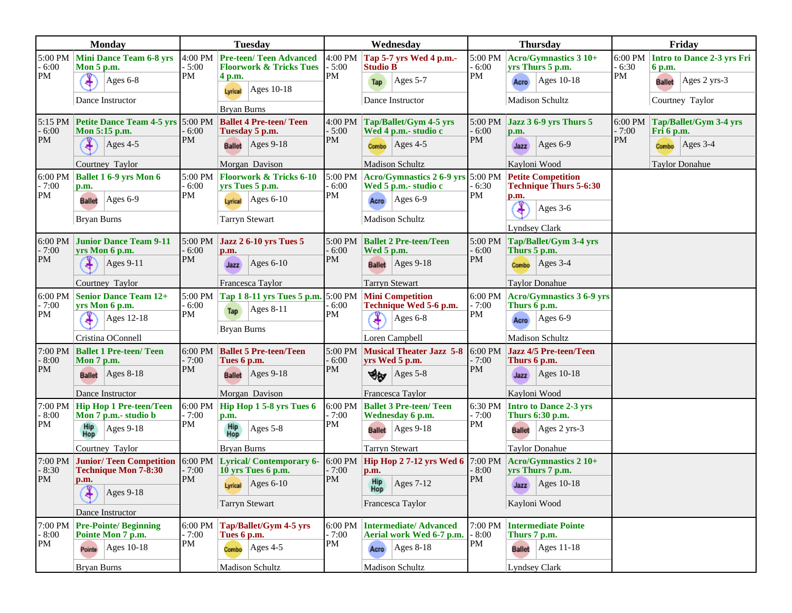| Monday                          |                                                                   | <b>Tuesday</b>             |                                                                     | Wednesday                |                                                                                    | <b>Thursday</b>            |                                                            | Friday                   |                                                 |
|---------------------------------|-------------------------------------------------------------------|----------------------------|---------------------------------------------------------------------|--------------------------|------------------------------------------------------------------------------------|----------------------------|------------------------------------------------------------|--------------------------|-------------------------------------------------|
| $-6:00$<br>PM                   | 5:00 PM Mini Dance Team 6-8 yrs<br>Mon 5 p.m.                     | 4:00 PM<br>$-5:00$<br>PM   | <b>Pre-teen/Teen Advanced</b><br><b>Floorwork &amp; Tricks Tues</b> | 4:00 PM<br>$-5:00$<br>PM | Tap 5-7 yrs Wed 4 p.m.-<br><b>Studio B</b>                                         | 5:00 PM<br>$-6:00$<br>PM   | Acro/Gymnastics 3 10+<br>yrs Thurs 5 p.m.                  | 6:00 PM<br>$-6:30$<br>PM | Intro to Dance 2-3 yrs Fri<br>6 p.m.            |
|                                 | ¥<br>Ages 6-8                                                     |                            | 4 p.m.<br>Ages 10-18<br>Lyrical                                     |                          | Ages 5-7<br>Tap                                                                    |                            | Ages 10-18<br>Acro                                         |                          | $\text{Ages } 2 \text{ yrs-}3$<br><b>Ballet</b> |
|                                 | Dance Instructor                                                  |                            | <b>Bryan Burns</b>                                                  |                          | Dance Instructor                                                                   |                            | Madison Schultz                                            |                          | Courtney Taylor                                 |
|                                 | 5:15 PM Petite Dance Team 4-5 yrs 5:00 PM Ballet 4 Pre-teen/ Teen | 6:00<br>PM                 |                                                                     | 4:00 PM                  | Tap/Ballet/Gym 4-5 yrs                                                             | 5:00 PM                    | Jazz 3 6-9 yrs Thurs 5                                     | 6:00 PM                  | Tap/Ballet/Gym 3-4 yrs                          |
| $-6:00$<br>PM                   | Mon 5:15 p.m.                                                     |                            | Tuesday 5 p.m.                                                      | $-5:00$<br>PM            | Wed 4 p.m.- studio c                                                               | $-6:00$<br>PM              | p.m.                                                       | $-7:00$<br><b>PM</b>     | Fri 6 p.m.                                      |
|                                 | Ages 4-5                                                          |                            | <b>Ballet</b> Ages 9-18                                             |                          | $\text{Ages } 4-5$<br>Combo                                                        |                            | $ {\rm Ages}$ 6-9<br>Jazz                                  |                          | $\text{Ages } 3-4$<br>Combo                     |
|                                 | Courtney Taylor                                                   |                            | Morgan Davison                                                      |                          | <b>Madison Schultz</b>                                                             |                            | Kayloni Wood                                               |                          | <b>Taylor Donahue</b>                           |
| 6:00 PM<br>$-7:00$<br>PM        | <b>Ballet 1 6-9 yrs Mon 6</b><br>p.m.                             | $-6:00$<br>PM              | 5:00 PM Floorwork & Tricks 6-10<br>yrs Tues 5 p.m.                  | 5:00 PM<br>$-6:00$<br>PM | $ {\text{Acro/Gymnistics 2 6-9 yrs}} $ 5:00 PM<br>Wed 5 p.m.- studio c             | $-6:30$<br>PM              | <b>Petite Competition</b><br><b>Technique Thurs 5-6:30</b> |                          |                                                 |
|                                 | Ages 6-9<br><b>Ballet</b>                                         |                            | $Ages 6-10$<br>Lyrical                                              |                          | Ages 6-9<br>Acro                                                                   |                            | p.m.<br>Ŧ<br>Ages 3-6                                      |                          |                                                 |
|                                 | <b>Bryan Burns</b>                                                |                            | <b>Tarryn Stewart</b>                                               |                          | Madison Schultz                                                                    |                            | Lyndsey Clark                                              |                          |                                                 |
| 6:00 PM                         | <b>Junior Dance Team 9-11</b>                                     | 5:00 PM                    | <b>Jazz 2 6-10 yrs Tues 5</b>                                       | $5:00 \text{ PM}$        | <b>Ballet 2 Pre-teen/Teen</b>                                                      | 5:00 PM                    | Tap/Ballet/Gym 3-4 yrs                                     |                          |                                                 |
| $-7:00$                         | yrs Mon 6 p.m.                                                    | 6:00<br>PM                 | p.m.                                                                | $-6:00$<br>PM            | Wed 5 p.m.                                                                         | $-6:00$<br>PM              | Thurs 5 p.m.                                               |                          |                                                 |
| PM                              | <b>Ages 9-11</b>                                                  |                            | Ages $6-10$<br>Jazz                                                 |                          | $\text{Ages } 9-18$<br><b>Ballet</b>                                               |                            | $\text{Ages } 3-4$<br>Combo                                |                          |                                                 |
|                                 | Courtney Taylor                                                   |                            | Francesca Taylor                                                    |                          | <b>Tarryn Stewart</b>                                                              |                            | <b>Taylor Donahue</b>                                      |                          |                                                 |
| 6:00 PM<br>$-7:00$              | <b>Senior Dance Team 12+</b><br>vrs Mon 6 p.m.                    | 6:00<br>PM                 | 5:00 PM Tap 1 8-11 yrs Tues 5 p.m. 5:00 PM                          | $-6:00$<br>PM            | <b>Mini Competition</b><br>Technique Wed 5-6 p.m.                                  | $-7:00$<br>PM              | 6:00 PM Acro/Gymnastics 3 6-9 yrs<br>Thurs 6 p.m.          |                          |                                                 |
| PM                              | Ages 12-18                                                        |                            | Ages $8-11$<br>Tap                                                  |                          | Ages 6-8                                                                           |                            | $\text{Ages } 6-9$<br>Acro                                 |                          |                                                 |
|                                 | Cristina OConnell                                                 |                            | <b>Bryan Burns</b>                                                  |                          | Loren Campbell                                                                     |                            | Madison Schultz                                            |                          |                                                 |
| 7:00 PM<br>$-8:00$<br>PM        | <b>Ballet 1 Pre-teen/ Teen</b><br>Mon 7 p.m.                      | 6:00 PM<br>$-7:00$<br>PM   | <b>Ballet 5 Pre-teen/Teen</b><br>Tues 6 p.m.                        | 5:00 PM<br>- 6:00<br>PM  | <b>Musical Theater Jazz 5-8</b><br>yrs Wed 5 p.m.                                  | $6:00$ PM<br>$-7:00$<br>PM | Jazz 4/5 Pre-teen/Teen<br>Thurs 6 p.m.                     |                          |                                                 |
|                                 | $\text{Ages } 8-18$<br><b>Ballet</b>                              |                            | <b>Ballet</b> Ages 9-18                                             |                          | $\text{Ages } 5-8$<br>∜α                                                           |                            | Ages 10-18<br>Jazz                                         |                          |                                                 |
|                                 | Dance Instructor                                                  |                            | Morgan Davison                                                      |                          | Francesca Taylor                                                                   |                            | Kayloni Wood                                               |                          |                                                 |
| 7:00 PM<br>$-8:00$              | <b>Hip Hop 1 Pre-teen/Teen</b><br>Mon 7 p.m.- studio b            | $6:00$ PM<br>$-7:00$<br>PM | Hip Hop 1 5-8 yrs Tues 6<br>p.m.                                    | 6:00 PM<br>$-7:00$<br>PM | <b>Ballet 3 Pre-teen/ Teen</b><br>Wednesday 6 p.m.                                 | 6:30 PM<br>$-7:00$<br>PM   | Intro to Dance 2-3 yrs<br>Thurs 6:30 p.m.                  |                          |                                                 |
| PM                              | <b>Hip</b><br>Hop<br><b>Ages 9-18</b>                             |                            | <b>Hip</b><br>Hop<br>Ages 5-8                                       |                          | <b>Ballet</b> $  \text{Ages } 9-18$                                                |                            | <b>Ballet</b> Ages 2 yrs-3                                 |                          |                                                 |
|                                 | Courtney Taylor                                                   |                            | <b>Bryan Burns</b>                                                  |                          | <b>Tarryn Stewart</b>                                                              |                            | <b>Taylor Donahue</b>                                      |                          |                                                 |
| 7:00 PM<br>$-8:30$<br><b>PM</b> | <b>Junior/Teen Competition</b><br>Technique Mon 7-8:30            | - 7:00<br>PM               | 6:00 PM Lyrical/ Contemporary 6-<br>10 yrs Tues 6 p.m.              | $-7:00$<br>PM            | 6:00 PM $\left $ Hip Hop 2 7-12 yrs Wed 6 7:00 PM<br>p.m.                          | $-8:00$<br>$\mathsf{P}M$   | Acro/Gymnastics 2 10+<br>yrs Thurs 7 p.m.                  |                          |                                                 |
|                                 | p.m.<br>≆<br>Ages 9-18                                            |                            | Lyrical $\Big  \text{Ages 6-10}$                                    |                          | $\begin{array}{c c}\n\text{Hip} & \text{Ages } 7-12 \\ \text{Hop} & \n\end{array}$ |                            | $\int \frac{1}{2} \text{Jazz}$ Ages 10-18                  |                          |                                                 |
|                                 |                                                                   |                            | <b>Tarryn Stewart</b>                                               |                          | Francesca Taylor                                                                   |                            | Kayloni Wood                                               |                          |                                                 |
|                                 | Dance Instructor                                                  |                            |                                                                     |                          |                                                                                    |                            |                                                            |                          |                                                 |
| 7:00 PM<br>$-8:00$<br>PM        | <b>Pre-Pointe/Beginning</b><br>Pointe Mon 7 p.m.                  | 6:00 PM<br>- 7:00<br>PM    | Tap/Ballet/Gym 4-5 yrs<br>Tues 6 p.m.                               | 6:00 PM<br>$-7:00$<br>PM | <b>Intermediate/Advanced</b><br>Aerial work Wed 6-7 p.m.                           | 7:00 PM<br>$-8:00$<br>PM   | <b>Intermediate Pointe</b><br>Thurs 7 p.m.                 |                          |                                                 |
|                                 | Ages 10-18<br>Pointe                                              |                            | $Ages$ 4-5<br>Combo                                                 |                          | Ages $8-18$<br>Acro                                                                |                            | <b>Ballet</b> $  \text{Ages 11-18}$                        |                          |                                                 |
|                                 | Bryan Burns                                                       |                            | Madison Schultz                                                     |                          | Madison Schultz                                                                    |                            | Lyndsey Clark                                              |                          |                                                 |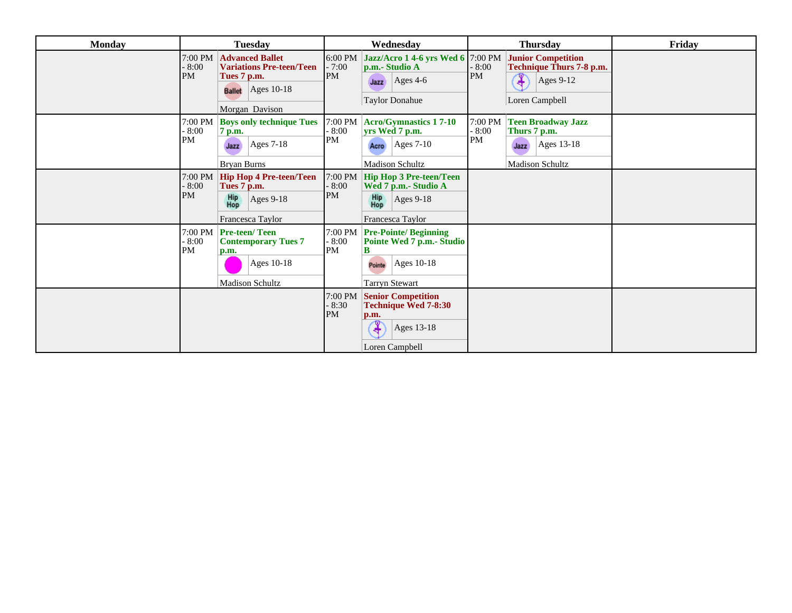| <b>Monday</b> | <b>Tuesday</b>                                                                                                                                       | Wednesday                                                                                                                                          | <b>Thursday</b>                                                                                                       | Friday |
|---------------|------------------------------------------------------------------------------------------------------------------------------------------------------|----------------------------------------------------------------------------------------------------------------------------------------------------|-----------------------------------------------------------------------------------------------------------------------|--------|
|               | <b>Advanced Ballet</b><br>$7:00$ PM<br><b>Variations Pre-teen/Teen</b><br>$-8:00$<br>PM<br>Tues 7 p.m.<br><b>Ballet</b> Ages 10-18<br>Morgan Davison | Jazz/Acro 1 4-6 yrs Wed 6 7:00 PM<br>$6:00 \text{ PM}$<br>$-7:00$<br>p.m.- Studio A<br>PM<br>$\text{Ages } 4-6$<br>Jazz<br><b>Taylor Donahue</b>   | <b>Junior Competition</b><br>$-8:00$<br>Technique Thurs 7-8 p.m.<br>PM<br>¥<br>Ages $9-12$<br>Loren Campbell          |        |
|               | 7:00 PM<br><b>Boys only technique Tues</b><br>$-8:00$<br>7 p.m.<br><b>PM</b><br>$\text{Ages } 7-18$<br>Jazz<br><b>Bryan Burns</b>                    | $7:00$ PM<br><b>Acro/Gymnastics 17-10</b><br>$-8:00$<br>yrs Wed 7 p.m.<br>PM<br>$ {\rm Ages\,7-10} $<br>Acro<br><b>Madison Schultz</b>             | 7:00 PM<br><b>Teen Broadway Jazz</b><br>$-8:00$<br>Thurs 7 p.m.<br>PM<br>Ages 13-18<br>Jazz<br><b>Madison Schultz</b> |        |
|               | $7:00$ PM<br><b>Hip Hop 4 Pre-teen/Teen</b><br>$-8:00$<br>Tues 7 p.m.<br>PM<br>Hip<br>Hop<br>Ages 9-18<br>Francesca Taylor                           | $7:00 \text{ PM}$<br><b>Hip Hop 3 Pre-teen/Teen</b><br>$-8:00$<br>Wed 7 p.m.- Studio A<br>PM<br>Hip<br>Hop<br><b>Ages 9-18</b><br>Francesca Taylor |                                                                                                                       |        |
|               | 7:00 PM   Pre-teen/ Teen<br>$-8:00$<br><b>Contemporary Tues 7</b><br>PM<br>p.m.<br>Ages 10-18<br><b>Madison Schultz</b>                              | 7:00 PM<br><b>Pre-Pointe/Beginning</b><br>$-8:00$<br>Pointe Wed 7 p.m.- Studio<br>PM<br>в<br>Ages 10-18<br>Pointe<br><b>Tarryn Stewart</b>         |                                                                                                                       |        |
|               |                                                                                                                                                      | <b>Senior Competition</b><br>7:00 PM<br>$-8:30$<br>Technique Wed 7-8:30<br><b>PM</b><br>p.m.<br>Ages 13-18<br>4<br>Loren Campbell                  |                                                                                                                       |        |